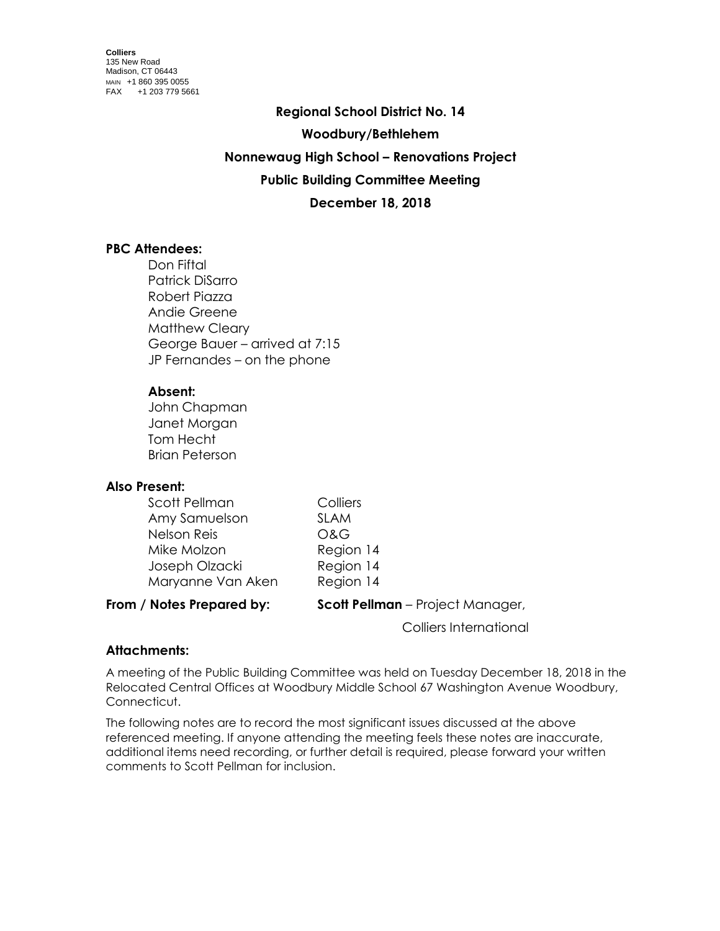**Regional School District No. 14 Woodbury/Bethlehem Nonnewaug High School – Renovations Project Public Building Committee Meeting December 18, 2018**

## **PBC Attendees:**

Don Fiftal Patrick DiSarro Robert Piazza Andie Greene Matthew Cleary George Bauer – arrived at 7:15 JP Fernandes – on the phone

### **Absent:**

John Chapman Janet Morgan Tom Hecht Brian Peterson

### **Also Present:**

| Scott Pellman     | Colliers    |
|-------------------|-------------|
| Amy Samuelson     | <b>SLAM</b> |
| Nelson Reis       | O&G         |
| Mike Molzon       | Region 14   |
| Joseph Olzacki    | Region 14   |
| Maryanne Van Aken | Region 14   |
|                   |             |

**From / Notes Prepared by: Scott Pellman** – Project Manager,

Colliers International

# **Attachments:**

A meeting of the Public Building Committee was held on Tuesday December 18, 2018 in the Relocated Central Offices at Woodbury Middle School 67 Washington Avenue Woodbury, Connecticut.

The following notes are to record the most significant issues discussed at the above referenced meeting. If anyone attending the meeting feels these notes are inaccurate, additional items need recording, or further detail is required, please forward your written comments to Scott Pellman for inclusion.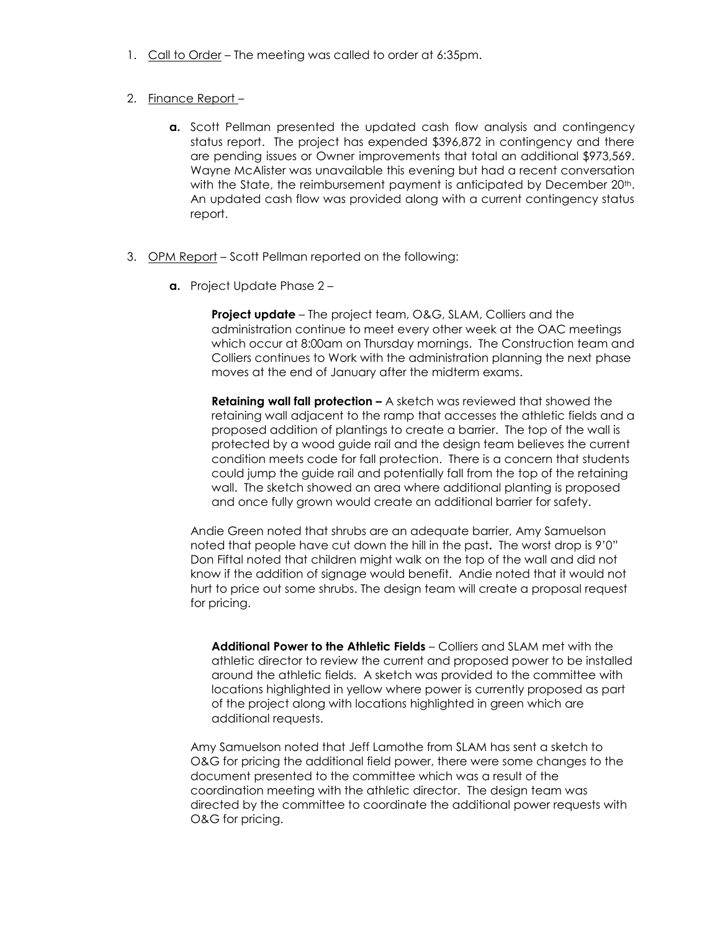1. Call to Order – The meeting was called to order at 6:35pm.

#### 2. Finance Report –

- **a.** Scott Pellman presented the updated cash flow analysis and contingency status report. The project has expended \$396,872 in contingency and there are pending issues or Owner improvements that total an additional \$973,569. Wayne McAlister was unavailable this evening but had a recent conversation with the State, the reimbursement payment is anticipated by December 20<sup>th</sup>. An updated cash flow was provided along with a current contingency status report.
- 3. OPM Report Scott Pellman reported on the following:
	- **a.** Project Update Phase 2 –

**Project update** – The project team, O&G, SLAM, Colliers and the administration continue to meet every other week at the OAC meetings which occur at 8:00am on Thursday mornings. The Construction team and Colliers continues to Work with the administration planning the next phase moves at the end of January after the midterm exams.

**Retaining wall fall protection –** A sketch was reviewed that showed the retaining wall adjacent to the ramp that accesses the athletic fields and a proposed addition of plantings to create a barrier. The top of the wall is protected by a wood guide rail and the design team believes the current condition meets code for fall protection. There is a concern that students could jump the guide rail and potentially fall from the top of the retaining wall. The sketch showed an area where additional planting is proposed and once fully grown would create an additional barrier for safety.

Andie Green noted that shrubs are an adequate barrier, Amy Samuelson noted that people have cut down the hill in the past**.** The worst drop is 9'0" Don Fiftal noted that children might walk on the top of the wall and did not know if the addition of signage would benefit. Andie noted that it would not hurt to price out some shrubs. The design team will create a proposal request for pricing.

**Additional Power to the Athletic Fields** – Colliers and SLAM met with the athletic director to review the current and proposed power to be installed around the athletic fields. A sketch was provided to the committee with locations highlighted in yellow where power is currently proposed as part of the project along with locations highlighted in green which are additional requests.

Amy Samuelson noted that Jeff Lamothe from SLAM has sent a sketch to O&G for pricing the additional field power, there were some changes to the document presented to the committee which was a result of the coordination meeting with the athletic director. The design team was directed by the committee to coordinate the additional power requests with O&G for pricing.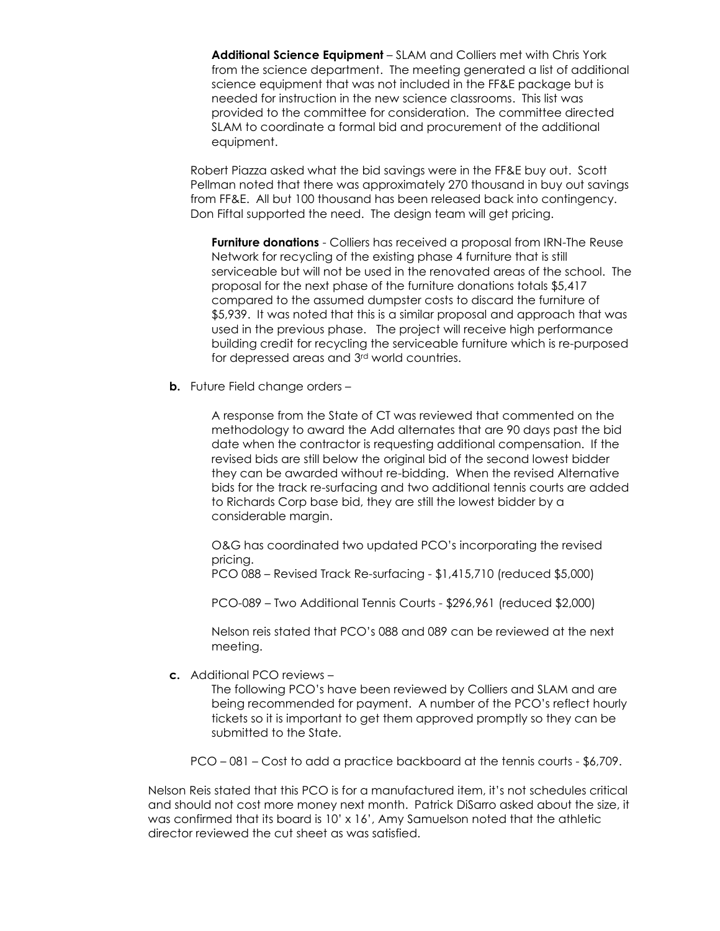**Additional Science Equipment** – SLAM and Colliers met with Chris York from the science department. The meeting generated a list of additional science equipment that was not included in the FF&E package but is needed for instruction in the new science classrooms. This list was provided to the committee for consideration. The committee directed SLAM to coordinate a formal bid and procurement of the additional equipment.

Robert Piazza asked what the bid savings were in the FF&E buy out. Scott Pellman noted that there was approximately 270 thousand in buy out savings from FF&E. All but 100 thousand has been released back into contingency. Don Fiftal supported the need. The design team will get pricing.

**Furniture donations** - Colliers has received a proposal from IRN-The Reuse Network for recycling of the existing phase 4 furniture that is still serviceable but will not be used in the renovated areas of the school. The proposal for the next phase of the furniture donations totals \$5,417 compared to the assumed dumpster costs to discard the furniture of \$5,939. It was noted that this is a similar proposal and approach that was used in the previous phase. The project will receive high performance building credit for recycling the serviceable furniture which is re-purposed for depressed areas and 3rd world countries.

**b.** Future Field change orders -

A response from the State of CT was reviewed that commented on the methodology to award the Add alternates that are 90 days past the bid date when the contractor is requesting additional compensation. If the revised bids are still below the original bid of the second lowest bidder they can be awarded without re-bidding. When the revised Alternative bids for the track re-surfacing and two additional tennis courts are added to Richards Corp base bid, they are still the lowest bidder by a considerable margin.

O&G has coordinated two updated PCO's incorporating the revised pricing.

PCO 088 – Revised Track Re-surfacing - \$1,415,710 (reduced \$5,000)

PCO-089 – Two Additional Tennis Courts - \$296,961 (reduced \$2,000)

Nelson reis stated that PCO's 088 and 089 can be reviewed at the next meeting.

**c.** Additional PCO reviews –

The following PCO's have been reviewed by Colliers and SLAM and are being recommended for payment. A number of the PCO's reflect hourly tickets so it is important to get them approved promptly so they can be submitted to the State.

PCO – 081 – Cost to add a practice backboard at the tennis courts - \$6,709.

Nelson Reis stated that this PCO is for a manufactured item, it's not schedules critical and should not cost more money next month. Patrick DiSarro asked about the size, it was confirmed that its board is 10' x 16', Amy Samuelson noted that the athletic director reviewed the cut sheet as was satisfied.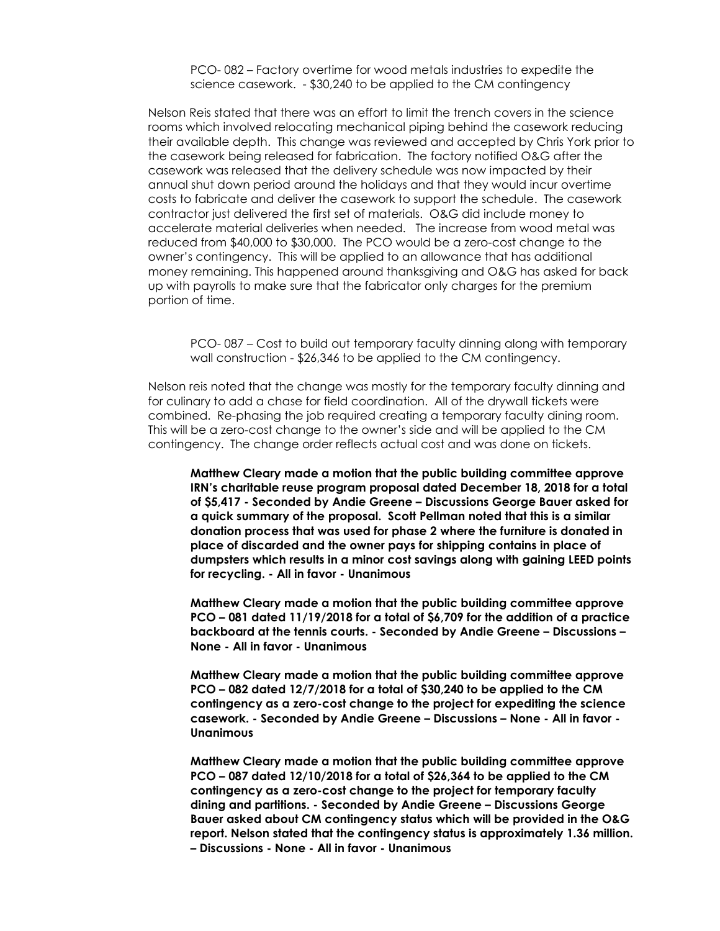PCO- 082 – Factory overtime for wood metals industries to expedite the science casework. - \$30,240 to be applied to the CM contingency

Nelson Reis stated that there was an effort to limit the trench covers in the science rooms which involved relocating mechanical piping behind the casework reducing their available depth. This change was reviewed and accepted by Chris York prior to the casework being released for fabrication. The factory notified O&G after the casework was released that the delivery schedule was now impacted by their annual shut down period around the holidays and that they would incur overtime costs to fabricate and deliver the casework to support the schedule. The casework contractor just delivered the first set of materials. O&G did include money to accelerate material deliveries when needed. The increase from wood metal was reduced from \$40,000 to \$30,000. The PCO would be a zero-cost change to the owner's contingency. This will be applied to an allowance that has additional money remaining. This happened around thanksgiving and O&G has asked for back up with payrolls to make sure that the fabricator only charges for the premium portion of time.

PCO- 087 – Cost to build out temporary faculty dinning along with temporary wall construction - \$26,346 to be applied to the CM contingency.

Nelson reis noted that the change was mostly for the temporary faculty dinning and for culinary to add a chase for field coordination. All of the drywall tickets were combined. Re-phasing the job required creating a temporary faculty dining room. This will be a zero-cost change to the owner's side and will be applied to the CM contingency. The change order reflects actual cost and was done on tickets.

**Matthew Cleary made a motion that the public building committee approve IRN's charitable reuse program proposal dated December 18, 2018 for a total of \$5,417 - Seconded by Andie Greene – Discussions George Bauer asked for a quick summary of the proposal. Scott Pellman noted that this is a similar donation process that was used for phase 2 where the furniture is donated in place of discarded and the owner pays for shipping contains in place of dumpsters which results in a minor cost savings along with gaining LEED points for recycling. - All in favor - Unanimous**

**Matthew Cleary made a motion that the public building committee approve PCO – 081 dated 11/19/2018 for a total of \$6,709 for the addition of a practice backboard at the tennis courts. - Seconded by Andie Greene – Discussions – None - All in favor - Unanimous**

**Matthew Cleary made a motion that the public building committee approve PCO – 082 dated 12/7/2018 for a total of \$30,240 to be applied to the CM contingency as a zero-cost change to the project for expediting the science casework. - Seconded by Andie Greene – Discussions – None - All in favor - Unanimous**

**Matthew Cleary made a motion that the public building committee approve PCO – 087 dated 12/10/2018 for a total of \$26,364 to be applied to the CM contingency as a zero-cost change to the project for temporary faculty dining and partitions. - Seconded by Andie Greene – Discussions George Bauer asked about CM contingency status which will be provided in the O&G report. Nelson stated that the contingency status is approximately 1.36 million. – Discussions - None - All in favor - Unanimous**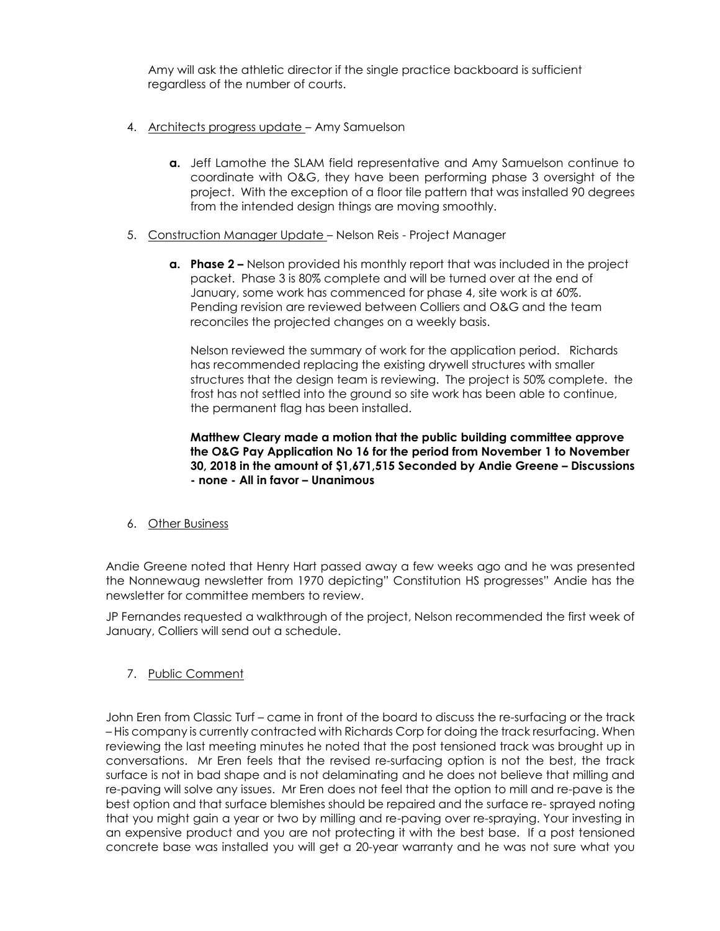Amy will ask the athletic director if the single practice backboard is sufficient regardless of the number of courts.

- 4. Architects progress update Amy Samuelson
	- **a.** Jeff Lamothe the SLAM field representative and Amy Samuelson continue to coordinate with O&G, they have been performing phase 3 oversight of the project. With the exception of a floor tile pattern that was installed 90 degrees from the intended design things are moving smoothly.
- 5. Construction Manager Update Nelson Reis Project Manager
	- **a. Phase 2 –** Nelson provided his monthly report that was included in the project packet. Phase 3 is 80% complete and will be turned over at the end of January, some work has commenced for phase 4, site work is at 60%. Pending revision are reviewed between Colliers and O&G and the team reconciles the projected changes on a weekly basis.

Nelson reviewed the summary of work for the application period. Richards has recommended replacing the existing drywell structures with smaller structures that the design team is reviewing. The project is 50% complete. the frost has not settled into the ground so site work has been able to continue, the permanent flag has been installed.

**Matthew Cleary made a motion that the public building committee approve the O&G Pay Application No 16 for the period from November 1 to November 30, 2018 in the amount of \$1,671,515 Seconded by Andie Greene – Discussions - none - All in favor – Unanimous** 

6. Other Business

Andie Greene noted that Henry Hart passed away a few weeks ago and he was presented the Nonnewaug newsletter from 1970 depicting" Constitution HS progresses" Andie has the newsletter for committee members to review.

JP Fernandes requested a walkthrough of the project, Nelson recommended the first week of January, Colliers will send out a schedule.

7. Public Comment

John Eren from Classic Turf – came in front of the board to discuss the re-surfacing or the track – His company is currently contracted with Richards Corp for doing the track resurfacing. When reviewing the last meeting minutes he noted that the post tensioned track was brought up in conversations. Mr Eren feels that the revised re-surfacing option is not the best, the track surface is not in bad shape and is not delaminating and he does not believe that milling and re-paving will solve any issues. Mr Eren does not feel that the option to mill and re-pave is the best option and that surface blemishes should be repaired and the surface re- sprayed noting that you might gain a year or two by milling and re-paving over re-spraying. Your investing in an expensive product and you are not protecting it with the best base. If a post tensioned concrete base was installed you will get a 20-year warranty and he was not sure what you